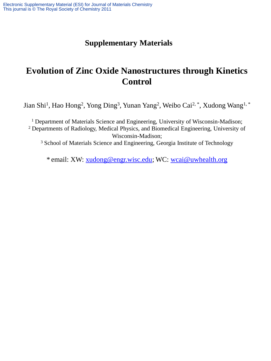## **Supplementary Materials**

## **Evolution of Zinc Oxide Nanostructures through Kinetics Control**

Jian Shi<sup>1</sup>, Hao Hong<sup>2</sup>, Yong Ding<sup>3</sup>, Yunan Yang<sup>2</sup>, Weibo Cai<sup>2, \*</sup>, Xudong Wang<sup>1, \*</sup>

<sup>1</sup> Department of Materials Science and Engineering, University of Wisconsin-Madison; <sup>2</sup> Departments of Radiology, Medical Physics, and Biomedical Engineering, University of Wisconsin-Madison;

<sup>3</sup> School of Materials Science and Engineering, Georgia Institute of Technology

\* email: XW: [xudong@engr.wisc.edu](mailto:xudong@engr.wisc.edu); WC: [wcai@uwhealth.org](mailto:wcai@uwhealth.org)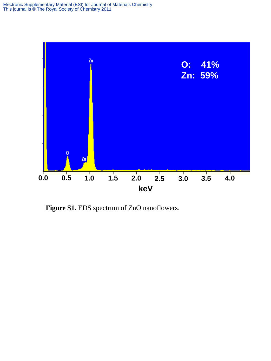

**Figure S1.** EDS spectrum of ZnO nanoflowers.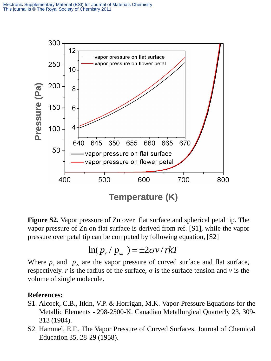

**Figure S2.** Vapor pressure of Zn over flat surface and spherical petal tip. The vapor pressure of Zn on flat surface is derived from ref. [S1], while the vapor pressure over petal tip can be computed by following equation, [S2]

$$
\ln(p_r / p_\infty) = \pm 2\sigma v / r k T
$$

Where  $p_r$  and  $p_\infty$  are the vapor pressure of curved surface and flat surface, respectively. *r* is the radius of the surface, σ is the surface tension and *v* is the

## **References:**

- S1. Alcock, C.B., Itkin, V.P. & Horrigan, M.K. Vapor-Pressure Equations for the Metallic Elements - 298-2500-K. Canadian Metallurgical Quarterly 23, 309- 313 (1984).
- S2. Hammel, E.F., The Vapor Pressure of Curved Surfaces. Journal of Chemical Education 35, 28-29 (1958).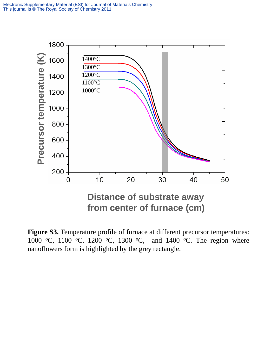

**Figure S3.** Temperature profile of furnace at different precursor temperatures: 1000 °C, 1100 °C, 1200 °C, 1300 °C, and 1400 °C. The region where nanoflowers form is highlighted by the grey rectangle.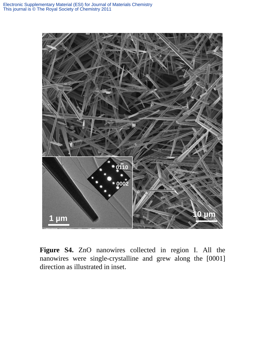

**Figure S4.** ZnO nanowires collected in region I. All the nanowires were single-crystalline and grew along the [0001] direction as illustrated in inset.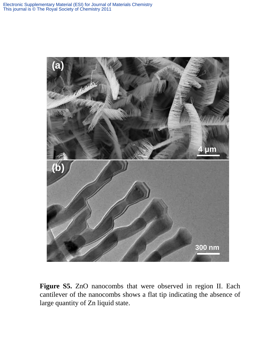

**Figure S5.** ZnO nanocombs that were observed in region II. Each cantilever of the nanocombs shows a flat tip indicating the absence of large quantity of Zn liquid state.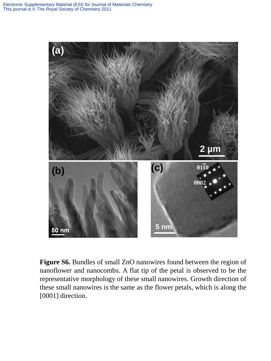

**Figure S6.** Bundles of small ZnO nanowires found between the region of nanoflower and nanocombs. A flat tip of the petal is observed to be the representative morphology of these small nanowires. Growth direction of these small nanowires is the same as the flower petals, which is along the [0001] direction.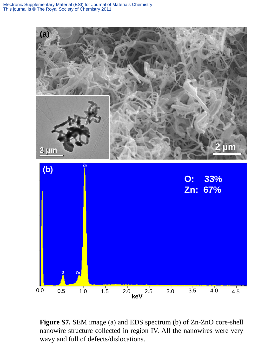

**Figure S7.** SEM image (a) and EDS spectrum (b) of Zn-ZnO core-shell nanowire structure collected in region IV. All the nanowires were very wavy and full of defects/dislocations.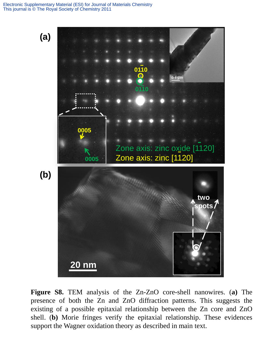## Electronic Supplementary Material (ESI) for Journal of Materials Chemistry This journal is © The Royal Society of Chemistry 2011



**Figure S8.** TEM analysis of the Zn-ZnO core-shell nanowires. (**a)** The presence of both the Zn and ZnO diffraction patterns. This suggests the existing of a possible epitaxial relationship between the Zn core and ZnO shell. (**b)** Morie fringes verify the epitaxial relationship. These evidences support the Wagner oxidation theory as described in main text.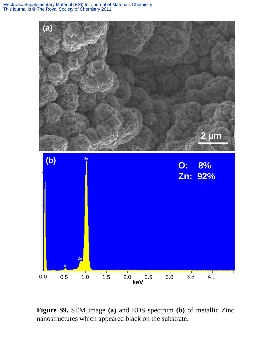

**Figure S9.** SEM image **(a)** and EDS spectrum **(b)** of metallic Zinc nanostructures which appeared black on the substrate.